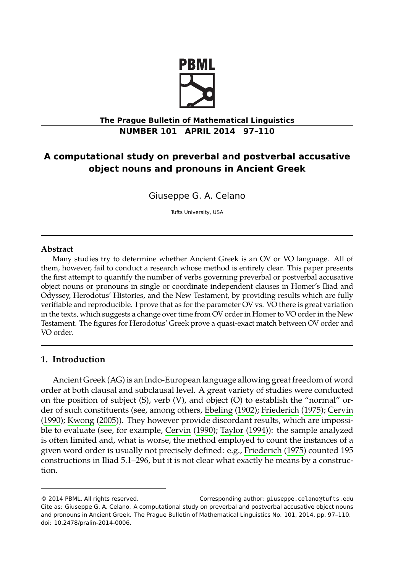

# **The Prague Bulletin of Mathematical Linguistics NUMBER 101 APRIL 2014 97–110**

# **A computational study on preverbal and postverbal accusative object nouns and pronouns in Ancient Greek**

Giuseppe G. A. Celano

Tufts University, USA

#### **Abstract**

Many studies try to determine whether Ancient Greek is an OV or VO language. All of them, however, fail to conduct a research whose method is entirely clear. This paper presents the first attempt to quantify the number of verbs governing preverbal or postverbal accusative object nouns or pronouns in single or coordinate independent clauses in Homer's Iliad and Odyssey, Herodotus' Histories, and the New Testament, by providing results which are fully verifiable and reproducible. I prove that as for the parameter OV vs. VO there is great variation in the texts, which suggests a change over time fro[m OV order in H](#page-12-0)[omer to VO order in](#page-12-1) [the New](#page-12-2) [Testam](#page-12-2)[ent. The figures](#page-12-3) for Herodotus' Greek prove a quasi-exact match between OV order and VO order.

# **1. Introduction**

Ancient Greek (AG) is an Indo-European language allowing great freedom of word order at both clausal and subclausal level. A great variety of studies were conducted on the position of subject (S), verb (V), and object (O) to establish the "normal" order of such constituents (see, among others, Ebeling (1902); Friederich (1975); Cervin (1990); Kwong (2005)). They however provide discordant results, which are impossible to evaluate (see, for example, Cervin (1990); Taylor (1994)): the sample analyzed is often limited and, what is worse, the method employed to count the instances of a given word order is usually not precisely defined: e.g., Friederich (1975) counted 195 constructions in Iliad 5.1–296, but it is not clear what exactly he means by a construction.

<sup>© 2014</sup> PBML. All rights reserved. Corresponding author: giuseppe.celano@tufts.edu Cite as: Giuseppe G. A. Celano. A computational study on preverbal and postverbal accusative object nouns and pronouns in Ancient Greek. The Prague Bulletin of Mathematical Linguistics No. 101, 2014, pp. 97–110. doi: 10.2478/pralin-2014-0006.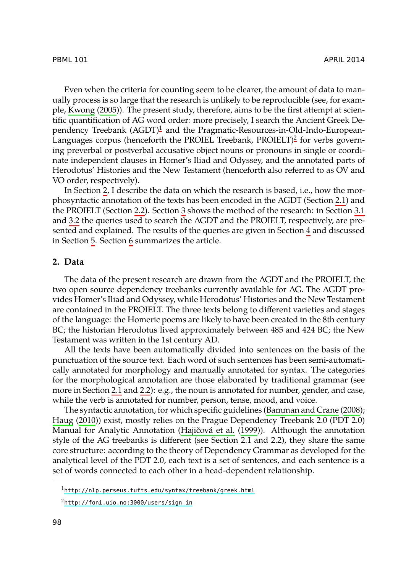Even when the criteria for counting seem to be clearer, the amount of data to manually process [is](#page-1-0) so large that the research is unlikely to be reproducible (see, for example, Kwong (2005)). The present study, therefore, aims to be the first attempt [at s](#page-3-0)cientific quantification of [AG](#page-4-0) word ord[er](#page-5-0): more precisely, I search the Ancient Greek [De](#page-5-1)pen[den](#page-8-0)cy Treebank  $(AGDT)^1$  and the Pragmatic-Resources-in-Old-Indo-EuropeanLanguages c[or](#page-10-0)pus (henceforth the PROIEL Treebank, PROIELT)<sup>2</sup> for verbs governing prever[b](#page-10-1)al or pos[tv](#page-12-4)erbal accusative object nouns or pronouns in single or coordinate independent clauses in Homer's Iliad and Odyssey, and the annotated parts of Herodotus' Histories and the New Testament (henceforth also referred to as OV and VO order, respectively).

<span id="page-1-0"></span>In Section 2, I describe the data on which the research is based, i.e., how the morphosyntactic annotation of the texts has been encoded in the AGDT (Section 2.1) and the PROIELT (Section 2.2). Section 3 shows the method of the research: in Section 3.1 and 3.2 the queries used to search the AGDT and the PROIELT, respectively, are presented and explained. The results of the queries are given in Section 4 and discussed in Section 5. Section 6 summarizes the article.

## **2. Data**

The data of the present research are drawn from the AGDT and the PROIELT, the two open source dependency treebanks currently available for AG. The AGDT provides Homer's I[liad](#page-3-0) an[d Od](#page-4-0)yssey, while Herodotus' Histories and the New Testament are contained in the PROIELT. The three texts belong to different varieties and stages of the language: the Homeric poems are likely to have bee[n created in the 8th century](#page-12-5) [BC; the hist](#page-12-6)orian Herodotus lived approximately [betwe](#page-12-7)en 485 and 424 BC; the New Testament was written in the 1st c[entury AD.](#page-12-7)

All the texts have been automatically divided into sentences on the basis of the punctuation of the source text. Each word of such sentences has been semi-automatically annotated for morphology and manually annotated for syntax. The categories for the morphological annotation are those elaborated by traditional grammar (see more in Section 2.1 and 2.2): e.g., the noun is annotated for number, gender, and case, w[hile the verb is annotated for number, person, tense, m](http://nlp.perseus.tufts.edu/syntax/treebank/greek.html)ood, and voice.

[The syntactic annotation, for which](http://foni.uio.no:3000/users/sign_in) specific guidelines (Bamman and Crane (2008); Haug (2010)) exist, mostly relies on the Prague Dependency Treebank 2.0 (PDT 2.0) Manual for Analytic Annotation (Hajičová et al. (1999)). Although the annotation style of the AG treebanks is different (see Section 2.1 and 2.2), they share the same core structure: according to the theory of Dependency Grammar as developed for the analytical level of the PDT 2.0, each text is a set of sentences, and each sentence is a set of words connected to each other in a head-dependent relationship.

<sup>1</sup>http://nlp.perseus.tufts.edu/syntax/treebank/greek.html

<sup>2</sup>http://foni.uio.no:3000/users/sign\_in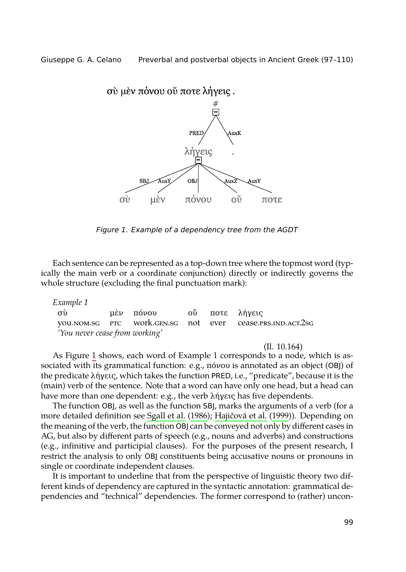<span id="page-2-0"></span>

*Figure 1. Example of a dependency tree from the AGDT*

Each sente[n](#page-2-0)ce can be represented as a top-down tree where the topmost word (typically the main verb or a coordinate conjunction) directly or indirectly governs the whole structure (excluding the final punctuation mark):

*Example 1*

| $\sigma$ $\grave{v}$           |  | μέν πόνου ο ποτε λήγεις |  |  |                                                           |  |
|--------------------------------|--|-------------------------|--|--|-----------------------------------------------------------|--|
|                                |  |                         |  |  | you.nom.sg PTC work.gen.sg not ever cease.prs.ind.act.2sg |  |
| 'You never cease from working' |  |                         |  |  |                                                           |  |

(Il. 10.164)

As Figure 1 shows, each word of Example 1 corresponds to a node, which is associated with its grammatical function: e.g., πόνου is annotated as an object (OBJ) of the predicate λήγεις, which takes the function PRED, i.e., "predicate", because it is the (main) verb of the sentence. Note that a word can have only one head, but a head can have more than one dependent: e.g., the verb λήγεις has five dependents.

The function OBJ, as well as the function SBJ, marks the arguments of a verb (for a more detailed definition see Sgall et al. (1986); Hajičová et al. (1999)). Depending on the meaning of the verb, the function OBJ can be conveyed not only by different cases in AG, but also by different parts of speech (e.g., nouns and adverbs) and constructions (e.g., infinitive and participial clauses). For the purposes of the present research, I restrict the analysis to only OBJ constituents being accusative nouns or pronouns in single or coordinate independent clauses.

It is important to underline that from the perspective of linguistic theory two different kinds of dependency are captured in the syntactic annotation: grammatical dependencies and "technical" dependencies. The former correspond to (rather) uncon-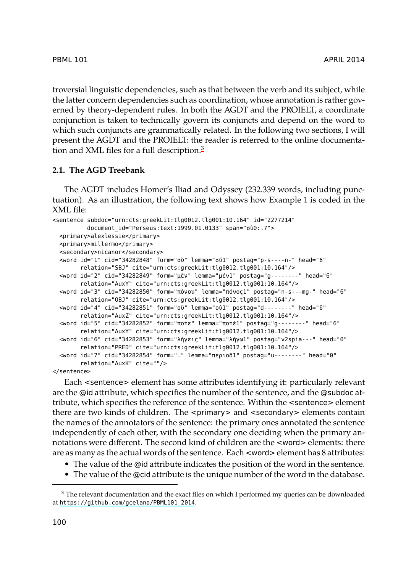<span id="page-3-0"></span>troversial linguistic dependencies, such as that between the verb and its subject, while the latter concern dependencies such as coordination, whose annotation is rather governed by theory-dependent rules. In both the AGDT and the PROIELT, a coordinate conjunction is taken to technically govern its conjuncts and depend on the word to which such conjuncts are grammatically related. In the following two sections, I will present the AGDT and the PROIELT: the reader is referred to the online documentation and XML files for a full description.<sup>3</sup>

## **2.1. The AGD Treebank**

The AGDT includes Homer's Iliad and Odyssey (232.339 words, including punctuation). As an illustration, the following text shows how Example 1 is coded in the XML file:

```
<sentence subdoc="urn:cts:greekLit:tlg0012.tlg001:10.164" id="2277214"
          document_id="Perseus:text:1999.01.0133" span="σὺ0:.7">
  <primary>alexlessie</primary>
  <primary>millermo</primary>
  <secondary>nicanor</secondary>
  <word id="1" cid="34282848" form="σὺ" lemma="σύ1" postag="p-s----n-" head="6"
        relation="SBJ" cite="urn:cts:greekLit:tlg0012.tlg001:10.164"/>
  <word id="2" cid="34282849" form="μὲν" lemma="μέν1" postag="g--------" head="6"
        relation="AuxY" cite="urn:cts:greekLit:tlg0012.tlg001:10.164"/>
  <word id="3" cid="34282850" form="πόνου" lemma="πόνος1" postag="n-s---mg-" head="6"
        relation="OBJ" cite="urn:cts:greekLit:tlg0012.tlg001:10.164"/>
  <word id="4" cid="34282851" form="οὔ" lemma="οὐ1" postag="d--------" head="6"
        relation="AuxZ" cite="urn:cts:greekLit:tlg0012.tlg001:10.164"/>
  <word id="5" cid="34282852" form="ποτε" lemma="ποτέ1" postag="g--------" head="6"
        relation="AuxY" cite="urn:cts:greekLit:tlg0012.tlg001:10.164"/>
  <word id="6" cid="34282853" form="λήγεις" lemma="λήγω1" postag="v2spia---" head="0"
        relation="PRED" cite="urn:cts:greekLit:tlg0012.tlg001:10.164"/>
  <word id="7" cid="34282854" form="." lemma="περιοδ1" postag="u--------" head="0"
        relation="AuxK" cite=""/>
```
</sentence>

Each <sentence> element has some attributes identifying it: particularly relevant are the @id attribute, which specifies the number of the sentence, and the @subdoc attribute, which specifies the reference of the sentence. Within the <sentence> element t[here are two kinds of children. The](https://github.com/gcelano/PBML101_2014) <primary> and <secondary> elements contain the names of the annotators of the sentence: the primary ones annotated the sentence independently of each other, with the secondary one deciding when the primary annotations were different. The second kind of children are the <word> elements: there are as many as the actual words of the sentence. Each <word> element has 8 attributes:

- The value of the @id attribute indicates the position of the word in the sentence.
- The value of the @cid attribute is the unique number of the word in the database.

<sup>&</sup>lt;sup>3</sup> The relevant documentation and the exact files on which I performed my queries can be downloaded at https://github.com/gcelano/PBML101\_2014.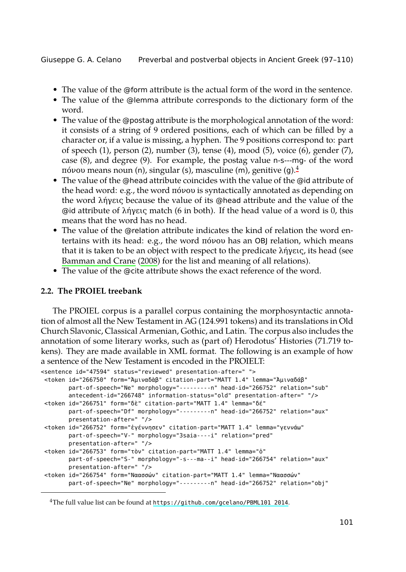- The value of the @form attribute is the actual form of the word in the sentence.
- The value of the @lemma attribute corresponds to the dictionary form of the word.
- The value of the @postag attribute is the morphological annotation of the word: it consists of a string of 9 ordered positions, each of which can be filled by a character or, if a value is missing, a hyphen. The 9 positions correspond to: part of speech (1), person (2), number (3), tense (4), mood (5), voice (6), gender (7), [case \(8\), and degree](#page-12-5) (9). For example, the postag value n-s---mg- of the word πόνου means noun (n[\), sin](#page-12-5)gular (s), masculine (m), genitive (g).<sup>4</sup>
- <span id="page-4-0"></span>• The value of the @head attribute coincides with the value of the @id attribute of the head word: e.g., the word πόνου is syntactically annotated as depending on the word λήγεις because the value of its @head attribute and the value of the @id attribute of λήγεις match (6 in both). If the head value of a word is 0, this means that the word has no head.
- The value of the @relation attribute indicates the kind of relation the word entertains with its head: e.g., the word πόνου has an OBJ relation, which means that it is taken to be an object with respect to the predicate λήγεις, its head (see Bamman and Crane (2008) for the list and meaning of all relations).
- The value of the @cite attribute shows the exact reference of the word.

# **2.2. The PROIEL treebank**

The PROIEL corpus is a parallel corpus containing the morphosyntactic annotation of almost all the New Testament in AG (124.991 tokens) and its translations in Old Church Slavonic, Classical Armenian, Gothic, and Latin. The corpus also includes the annotation of some literary works, such as (part of) Herodotus' Histories (71.719 tokens). They are made available in XML format. The following is an example of how a sentence of the New Testament is encoded in the PROIELT:

```
<sentence id="47594" status="reviewed" presentation-after=" ">
<token id="266750" form="Ἀμιναδὰβ" citation-part="MATT 1.4" lemma="Ἀμιναδάβ"
       part-of-speech="Ne" morphology="---------n" head-id="266752" relation="sub"
       antecedent-id="266748" information-status="old" presentation-after=" "/>
<token id="266751" form="δὲ" citation-part="MATT 1.4" lemma="δέ"
       part-of-speech="Df" morphology="---------n" head-id="266752" relation="aux"
       presentation-after=" "/>
<token id="266752" form="ἐγέννησεν" citation-part="MATT 1.4" lemma="γεννάω"
       part-of-speech="V-" morphology="3saia----i" relation="pred"
       presentation-after=" "/>
 <token id="266753" form="τὸν" citation-part="MATT 1.4" lemma="ὁ"
       part-of-speech="S-" morphology="-s---ma--i" head-id="266754" relation="aux"
       presentation-after=" "/>
<token id="266754" form="Ναασσών" citation-part="MATT 1.4" lemma="Ναασσών"
       part-of-speech="Ne" morphology="---------n" head-id="266752" relation="obj"
```
<sup>&</sup>lt;sup>4</sup>The full value list can be found at https://github.com/gcelano/PBML101\_2014.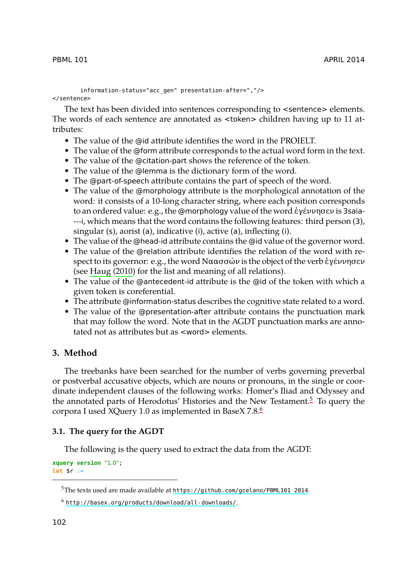information-status="acc\_gen" presentation-after=","/> </sentence>

The text has been divided into sentences corresponding to <sentence> elements. The words of each sentence are annotated as <token> children having up to 11 attributes:

- The value of the @id attribute identifies the word in the PROIELT.
- The value of the @form attribute corresponds to the actual word form in the text.
- The value of the @citation-part shows the reference of the token.
- The value of the @lemma is the dictionary form of the word.
- The [@part](#page-12-6)-[of-spe](#page-12-6)ech attribute contains the part of speech of the word.
- The value of the @morphology attribute is the morphological annotation of the word: it consists of a 10-long character string, where each position corresponds to an ordered value: e.g., the @morphology value of the word ἐγέννησεν is 3saia- ---i, which means that the word contains the following features: third person (3), singular (s), aorist (a), indicative (i), active (a), inflecting (i).
- The value of the @head-id attribute contains the @id value of the governor word.
- <span id="page-5-0"></span>• The value of the @relation attribute identifies the relation of the word with respect to its governor: e.g., the word Ναασσών is the object of the verb ἐγέννησεν (see Haug (2010) for the list and meaning of all relations).
- The value of the @antecedent-id attribute is the @id of the token with which a given token is coreferential.
- The attribute @information-status describes the cognitive state re[la](#page-5-2)ted to a word.
- The value of the @presentation-after attribute co[nt](#page-5-3)ains the punctuation mark that may follow the word. Note that in the AGDT punctuation marks are annotated not as attributes but as <word> elements.

# <span id="page-5-1"></span>**3. Method**

<span id="page-5-2"></span>The treebanks have been searched for the number of verbs governing preverbal or postverbal accusative objects, which are nouns or pronouns, in the single or coordinate independent clauses of the following works: Homer's Iliad and Odyssey and the annotated parts of Herodot[us' Histories and the New Testament.](https://github.com/gcelano/PBML101_2014)<sup>5</sup> To query the cor[pora I used XQuery 1.0 as implemented in Base](http://basex.org/products/download/all-downloads/)X 7.8.<sup>6</sup>

#### <span id="page-5-3"></span>**3.1. The query for the AGDT**

The following is the query used to extract the data from the AGDT:

**xquery version** "1.0"; **let** \$r :=

<sup>5</sup>The texts used are made available at https://github.com/gcelano/PBML101\_2014.

<sup>6</sup> http://basex.org/products/download/all-downloads/.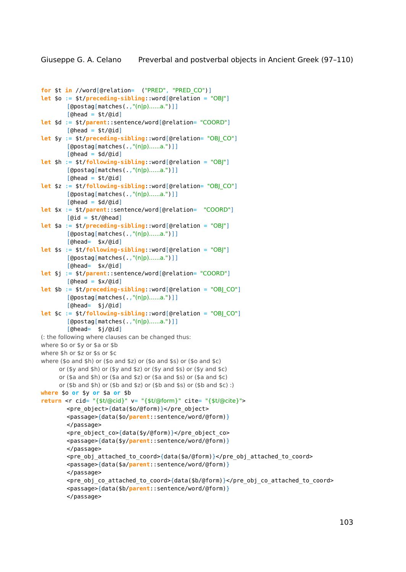```
for $t in //word[@relation= ("PRED", "PRED_CO")]
let $o := $t/preceding-sibling::word[@relation = "OBJ"]
        [@postag[matches(.,"(n|p)......a.")]]
        [6 \text{head} = $t / (6id)]let $d := $t/parent::sentence/word[@relation= "COORD"]
       [theta = $t/(did)]let $y := $t/preceding-sibling::word[@relation= "OBJ_CO"]
        [@postag[matches(.,"(n|p)......a.")]]
        [theta = $d/6id]let $h := $t/following-sibling::word[@relation = "OBJ"]
        [@postag[matches(.,"(n|p)......a.")]]
        [6 \text{head} = $t / (6id)]let $z := $t/following-sibling::word[@relation= "OBJ_CO"]
        [@postag[matches(.,"(n|p)......a.")]]
        [Qhead = $d/(Qid)]let $x := $t/parent::sentence/word[@relation= "COORD"]
        [Qid = $t/(Qhead)]let $a := $t/preceding-sibling::word[@relation = "OBJ"]
        [@postag[matches(.,"(n|p)......a.")]]
        [@head= $x/@id]
let $s := $t/following-sibling::word[@relation = "OBJ"]
        [@postag[matches(.,"(n|p)......a.")]]
        [@head= $x/@id]
let $j := $t/parent::sentence/word[@relation= "COORD"]
        [6 \text{head} = $x/\text{did}]let $b := $t/preceding-sibling::word[@relation = "OBJ_CO"]
        [@postag[matches(.,"(n|p)......a.")]]
        [@head= $j/@id]
let $c := $t/following-sibling::word[@relation = "OBJ_CO"]
        [@postag[matches(.,"(n|p)......a.")]]
        [@head= $j/@id]
(: the following where clauses can be changed thus:
where $o or $y or $a or $b
where $h or $z or $s or $c
where ($o and $h) or ($o and $z) or ($o and $s) or ($o and $c)
     or ($y and $h) or ($y and $z) or ($y and $s) or ($y and $c)
     or ($a and $h) or ($a and $z) or ($a and $s) or ($a and $c)
     or ($b and $h) or ($b and $z) or ($b and $s) or ($b and $c) :)
where $o or $y or $a or $b
return <r cid= "{$t/@cid}" v= "{$t/@form}" cite= "{$t/@cite}">
       <pre_object>{data($o/@form)}</pre_object>
        <passage>{data($o/parent::sentence/word/@form)}
        </passage>
        <pre_object_co>{data($y/@form)}</pre_object_co>
        <passage>{data($y/parent::sentence/word/@form)}
        </passage>
        <pre_obj_attached_to_coord>{data($a/@form)}</pre_obj_attached_to_coord>
        <passage>{data($a/parent::sentence/word/@form)}
        </passage>
        <pre_obj_co_attached_to_coord>{data($b/@form)}</pre_obj_co_attached_to_coord>
        <passage>{data($b/parent::sentence/word/@form)}
        </passage>
```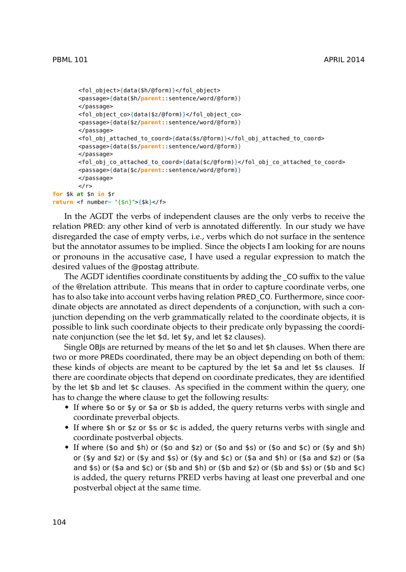```
<fol_object>{data($h/@form)}</fol_object>
       <passage>{data($h/parent::sentence/word/@form)}
       </passage>
       <fol_object_co>{data($z/@form)}</fol_object_co>
       <passage>{data($z/parent::sentence/word/@form)}
       </passage>
       <fol obj attached to coord>{data($s/@form)}</fol obj attached to coord>
       <passage>{data($s/parent::sentence/word/@form)}
       </passage>
       <fol_obj_co_attached_to_coord>{data($c/@form)}</fol_obj_co_attached_to_coord>
       <passage>{data($c/parent::sentence/word/@form)}
       </passage>
       \lt/\rceilfor $k at $n in $r
return <f number= "{$n}">{$k}</f>
```
In the AGDT the verbs of independent clauses are the only verbs to receive the relation PRED: any other kind of verb is annotated differently. In our study we have disregarded the case of empty verbs, i.e., verbs which do not surface in the sentence but the annotator assumes to be implied. Since the objects I am looking for are nouns or pronouns in the accusative case, I have used a regular expression to match the desired values of the @postag attribute.

The AGDT identifies coordinate constituents by adding the \_CO suffix to the value of the @relation attribute. This means that in order to capture coordinate verbs, one has to also take into account verbs having relation PRED\_CO. Furthermore, since coordinate objects are annotated as direct dependents of a conjunction, with such a conjunction depending on the verb grammatically related to the coordinate objects, it is possible to link such coordinate objects to their predicate only bypassing the coordinate conjunction (see the let \$d, let \$y, and let \$z clauses).

Single OBJs are returned by means of the let \$o and let \$h clauses. When there are two or more PREDs coordinated, there may be an object depending on both of them: these kinds of objects are meant to be captured by the let \$a and let \$s clauses. If there are coordinate objects that depend on coordinate predicates, they are identified by the let \$b and let \$c clauses. As specified in the comment within the query, one has to change the where clause to get the following results:

- If where \$o or \$y or \$a or \$b is added, the query returns verbs with single and coordinate preverbal objects.
- If where \$h or \$z or \$s or \$c is added, the query returns verbs with single and coordinate postverbal objects.
- If where (\$o and \$h) or (\$o and \$z) or (\$o and \$s) or (\$o and \$c) or (\$y and \$h) or (\$y and \$z) or (\$y and \$s) or (\$y and \$c) or (\$a and \$h) or (\$a and \$z) or (\$a and \$s) or (\$a and \$c) or (\$b and \$h) or (\$b and \$z) or (\$b and \$s) or (\$b and \$c) is added, the query returns PRED verbs having at least one preverbal and one postverbal object at the same time.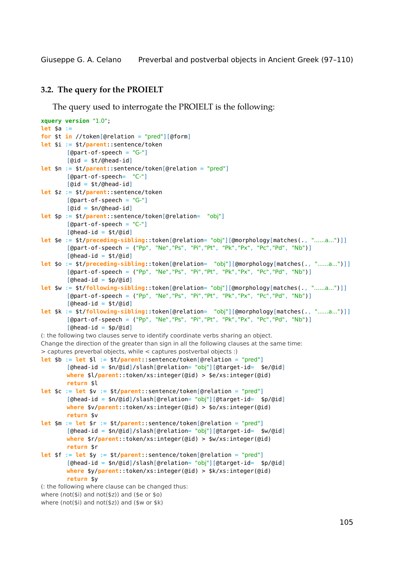## <span id="page-8-0"></span>**3.2. The query for the PROIELT**

The query used to interrogate the PROIELT is the following:

```
xquery version "1.0";
let $a :=
for $t in //token[@relation = "pred"][@form]
let $i := $t/parent::sentence/token
        [@part-of-speech = "G-"][@id = $t/@head-id]
let $n := $t/parent::sentence/token[@relation = "pred"]
       [@part-of-speech= "C-"]
       [Qid = $t/(Qhead-id]let $z := $t/parent::sentence/token
       [@part-of-speech = "G-"]
       [Qid = $n/(Qhead-id)]let $p := $t/parent::sentence/token[@relation= "obj"]
        [@part-of-speech = "C-"]
        [Qhead-id = $t/(qid)]let $e := $t/preceding-sibling::token[@relation= "obj"][@morphology[matches(., "......a...")]]
        [@part-of-speech = ("Pp", "Ne","Ps", "Pi","Pt", "Pk","Px", "Pc","Pd", "Nb")]
        [Qhead-id = $t/Qid]let $o := $t/preceding-sibling::token[@relation= "obj"][@morphology[matches(., "......a...")]]
        [@part-of-speech = ("Pp", "Ne","Ps", "Pi","Pt", "Pk","Px", "Pc","Pd", "Nb")]
        [Qhead-id = $p/Qid]let $w := $t/following-sibling::token[@relation= "obj"][@morphology[matches(., "......a...")]]
        [@part-of-speech = ("Pp", "Ne","Ps", "Pi","Pt", "Pk","Px", "Pc","Pd", "Nb")]
        [6 \text{head-id} = $t/\text{did}]let $k := $t/following-sibling::token[@relation= "obj"][@morphology[matches(., "......a...")]]
        [@part-of-speech = ("Pp", "Ne","Ps", "Pi","Pt", "Pk","Px", "Pc","Pd", "Nb")]
        [Qhead-id = $p/Qid](: the following two clauses serve to identify coordinate verbs sharing an object.
Change the direction of the greater than sign in all the following clauses at the same time:
> captures preverbal objects, while < captures postverbal objects :)
let $b := let $l := $t/parent::sentence/token[@relation = "pred"]
        [@head-id = $n/@id]/slash[@relation= "obj"][@target-id= $e/@id]
       where $l/parent::token/xs:integer(@id) > $e/xs:integer(@id)
       return $l
let $c := let $v := $t/parent::sentence/token[@relation = "pred"]
        [@head-id = $n/@id]/slash[@relation= "obj"][@target-id= $p/@id]
       where $v/parent::token/xs:integer(@id) > $o/xs:integer(@id)
       return $v
let $m := let $r := $t/parent::sentence/token[@relation = "pred"]
        [@head-id = $n/@id]/slash[@relation= "obj"][@target-id= $w/@id]
       where $r/parent::token/xs:integer(@id) > $w/xs:integer(@id)
       return $r
let $f := let $y := $t/parent::sentence/token[@relation = "pred"]
        [@head-id = $n/@id]/slash[@relation= "obj"][@target-id= $p/@id]
       where $y/parent::token/xs:integer(@id) > $k/xs:integer(@id)
       return $y
(: the following where clause can be changed thus:
where (not($i) and not($z)) and ($e or $o)
```

```
where (not($i) and not($z)) and ($w or $k)
```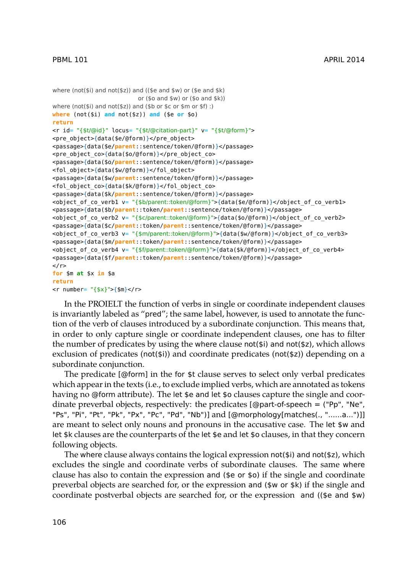```
where (not($i) and not($z)) and (($e and $w) or ($e and $k)
                         or ($o and $w) or ($o and $k))
where (not($i) and not($z)) and ($b or $c or $m or $f) :)
where (not($i) and not($z)) and ($e or $o)
return
<r id= "{$t/@id}" locus= "{$t/@citation-part}" v= "{$t/@form}">
<pre_object>{data($e/@form)}</pre_object>
<passage>{data($e/parent::sentence/token/@form)}</passage>
<pre_object_co>{data($o/@form)}</pre_object_co>
<passage>{data($o/parent::sentence/token/@form)}</passage>
<fol_object>{data($w/@form)}</fol_object>
<passage>{data($w/parent::sentence/token/@form)}</passage>
<fol_object_co>{data($k/@form)}</fol_object_co>
<passage>{data($k/parent::sentence/token/@form)}</passage>
<object_of_co_verb1 v= "{$b/parent::token/@form}">{data($e/@form)}</object_of_co_verb1>
<passage>{data($b/parent::token/parent::sentence/token/@form)}</passage>
<object_of_co_verb2 v= "{$c/parent::token/@form}">{data($o/@form)}</object_of_co_verb2>
<passage>{data($c/parent::token/parent::sentence/token/@form)}</passage>
<object_of_co_verb3 v= "{$m/parent::token/@form}">{data($w/@form)}</object_of_co_verb3>
<passage>{data($m/parent::token/parent::sentence/token/@form)}</passage>
<object of co verb4 v= "{$f/parent::token/@form}">{data($k/@form)}</object of co verb4>
<passage>{data($f/parent::token/parent::sentence/token/@form)}</passage>
\langle/r>
for $m at $x in $a
return
\text{cm} - \text{cm} - \text{cm} - \text{cm} \text{cm} - \text{cm} - \text{cm} - \text{cm} - \text{cm} - \text{cm} - \text{cm}
```
In the PROIELT the function of verbs in single or coordinate independent clauses is invariantly labeled as "pred"; the same label, however, is used to annotate the function of the verb of clauses introduced by a subordinate conjunction. This means that, in order to only capture single or coordinate independent clauses, one has to filter the number of predicates by using the where clause not( $$i)$  and not( $$z)$ , which allows exclusion of predicates (not(\$i)) and coordinate predicates (not(\$z)) depending on a subordinate conjunction.

The predicate  $[@form]$  in the for  $$t$  clause serves to select only verbal predicates which appear in the texts (i.e., to exclude implied verbs, which are annotated as tokens having no @form attribute). The let \$e and let \$o clauses capture the single and coordinate preverbal objects, respectively: the predicates  $[@part-of-speech = ("Pp", "Ne",$ "Ps", "Pi", "Pt", "Pk", "Px", "Pc", "Pd", "Nb")] and [@morphology[matches(., "......a...")]] are meant to select only nouns and pronouns in the accusative case. The let \$w and let \$k clauses are the counterparts of the let \$e and let \$o clauses, in that they concern following objects.

The where clause always contains the logical expression not( $\sin$ ) and not( $\sin$ ), which excludes the single and coordinate verbs of subordinate clauses. The same where clause has also to contain the expression and (\$e or \$o) if the single and coordinate preverbal objects are searched for, or the expression and (\$w or \$k) if the single and coordinate postverbal objects are searched for, or the expression and ((\$e and \$w)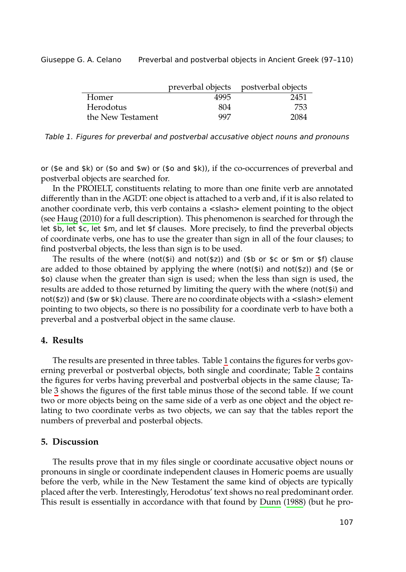<span id="page-10-2"></span>

|                   |      | preverbal objects postverbal objects |
|-------------------|------|--------------------------------------|
| Homer             | 4995 | 2451                                 |
| Herodotus         | 804  | 753                                  |
| the New Testament | 997  | 2084                                 |

*Table 1. Figures for preverbal and postverbal accusative object nouns and pronouns*

or (\$e and \$k) or (\$o and \$w) or (\$o and \$k)), if the co-occurrences of preverbal and postverbal objects are searched for.

In the PROIELT, constituents relating to more than one finite verb are annotated differently than in the AGDT: one object is attached to a verb and, if it is also related to another coordinate verb, this verb contains a <slash> element pointing to the object (see Haug (2010) for a full description). This phenomenon is searched for through the let \$b, let \$c, let \$m, and let \$f clauses. More precisely, to find the preverbal objects of coordinate verbs, one has to use the greater than sign in all of the four clauses; to find postverbal objects, the less than sign is to be used.

<span id="page-10-0"></span>The results of the where (not( $\sin$ ) and not( $\sin$ ) and ( $\sin$ ) or  $\sin$  or  $\sin$  or  $\sin$ ) clause are added to those obtained by applying the wh[er](#page-10-2)e (not(\$i) and not(\$z)) and (\$e or \$o) clause when the greater than sign is used; when the less than sign i[s u](#page-11-0)sed, the results are added to those returned by limiting the query with the where (not(\$i) and not[\(\\$](#page-11-1)z)) and (\$w or \$k) clause. There are no coordinate objects with a <slash> element pointing to two objects, so there is no possibility for a coordinate verb to have both a preverbal and a postverbal object in the same clause.

# <span id="page-10-1"></span>**4. Results**

The results are presented in three tables. Table 1 contains the figures for verbs governing preverbal or postverbal objects, both single and coordinate; Table 2 contains the figures for verbs having preverbal and postverbal objects in the same clause; Table 3 shows the figures of the first table minus those of the second table. If we count two or more objects being on the same side of a verb as one object and the object relating to two coordinate verbs as two objects, we can say [that the tabl](#page-12-9)es report the numbers of preverbal and posterbal objects.

## **5. Discussion**

The results prove that in my files single or coordinate accusative object nouns or pronouns in single or coordinate independent clauses in Homeric poems are usually before the verb, while in the New Testament the same kind of objects are typically placed after the verb. Interestingly, Herodotus' text shows no real predominant order. This result is essentially in accordance with that found by Dunn (1988) (but he pro-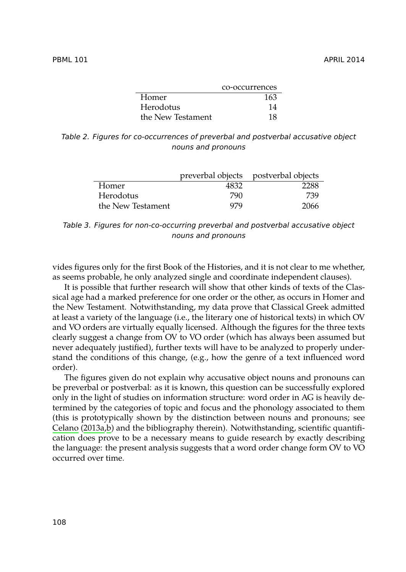<span id="page-11-0"></span>

|                   | co-occurrences |
|-------------------|----------------|
| Homer             | 163            |
| Herodotus         | 14             |
| the New Testament | 18             |

<span id="page-11-1"></span>*Table 2. Figures for co-occurrences of preverbal and postverbal accusative object nouns and pronouns*

|                   |      | preverbal objects postverbal objects |
|-------------------|------|--------------------------------------|
| Homer             | 4832 | 2288                                 |
| Herodotus         | 790  | 739                                  |
| the New Testament | 979  | 2066                                 |

*Table 3. Figures for non-co-occurring preverbal and postverbal accusative object nouns and pronouns*

vides figures only for the first Book of the Histories, and it is not clear to me whether, as seems probable, he only analyzed single and coordinate independent clauses).

It is possible that further research will show that other kinds of texts of the Classical age had a marked preference for one order or the other, as occurs in Homer and the New Testament. Notwithstanding, my data prove that Classical Greek admitted at least a variety of the language (i.e., the literary one of historical texts) in which OV and VO orders are virtually equally licensed. Although the figures for the three texts [clearly](#page-12-10) s[ugges](#page-12-10)[t a](#page-12-11) change from OV to VO order (which has always been assumed but never adequately justified), further texts will have to be analyzed to properly understand the conditions of this change, (e.g., how the genre of a text influenced word order).

The figures given do not explain why accusative object nouns and pronouns can be preverbal or postverbal: as it is known, this question can be successfully explored only in the light of studies on information structure: word order in AG is heavily determined by the categories of topic and focus and the phonology associated to them (this is prototypically shown by the distinction between nouns and pronouns; see Celano (2013a,b) and the bibliography therein). Notwithstanding, scientific quantification does prove to be a necessary means to guide research by exactly describing the language: the present analysis suggests that a word order change form OV to VO occurred over time.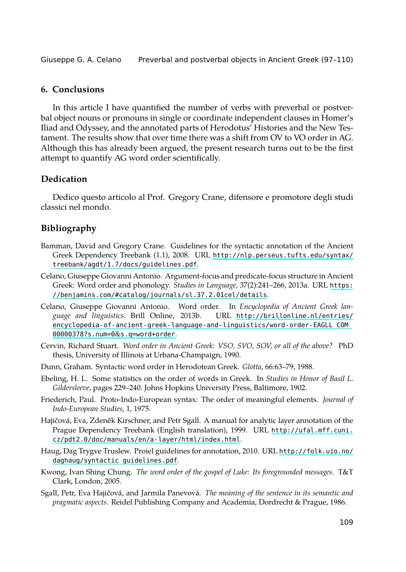## <span id="page-12-4"></span>**6. Conclusions**

In this article I have quantified the number of verbs with preverbal or postverbal object nouns or pronouns in single or coordinate independent clauses in Homer's Iliad and Odyssey, and the annotated parts of Herodotus' Histories and the New Testament. The results show that over time there was a shift from OV to VO order in AG. Although this has already been argued, the present research turns out to be the first attempt to quantify AG word order scientifical[ly.](http://nlp.perseus.tufts.edu/syntax/treebank/agdt/1.7/docs/guidelines.pdf)

# <span id="page-12-10"></span><span id="page-12-5"></span>**Dedication**

<span id="page-12-11"></span>[Dedico questo articolo al Prof. Gregory Crane, difensore e](https://benjamins.com/#catalog/journals/sl.37.2.01cel/details) promotore degl[i studi](https://benjamins.com/#catalog/journals/sl.37.2.01cel/details) classici nel mondo.

### **Bi[bliography](http://brillonline.nl/entries/encyclopedia-of-ancient-greek-language-and-linguistics/word-order-EAGLL_COM_00000378?s.num=0&s.q=word+order)**

- <span id="page-12-2"></span>Ba[mman, David and Gregory Crane. G](http://brillonline.nl/entries/encyclopedia-of-ancient-greek-language-and-linguistics/word-order-EAGLL_COM_00000378?s.num=0&s.q=word+order)uidelines for the syntactic annotation of the Ancient Greek Dependency Treebank (1.1), 2008. URL http://nlp.perseus.tufts.edu/syntax/ treebank/agdt/1.7/docs/guidelines.pdf.
- <span id="page-12-9"></span><span id="page-12-0"></span>Celano, Giuseppe Giovanni Antonio. Argument-focus and predicate-focus structure in Ancient Greek: Word order and phonology. *Studies in Language*, 37(2):241–266, 2013a. URL https: //benjamins.com/#catalog/journals/sl.37.2.01cel/details.
- <span id="page-12-7"></span><span id="page-12-1"></span>Celano, Giuseppe Giovanni Antonio. Word order. In *Encyclopedia of Ancient Greek language and linguistics*. Brill Online, 2013b. URL http://brillonline.nl/entries/ encyclopedia-of-ancient-greek-language-and-linguistics/word-order-EAGLL\_COM\_ 00000378?s.num=0&s.q=word+order.
- <span id="page-12-6"></span>Cervin, Richard Stuart. *[Word order in Ancient Greek: VSO, S](http://ufal.mff.cuni.cz/pdt2.0/doc/manuals/en/a-layer/html/index.html)VO, SOV, or all of the above?* PhD thesis, University of Illinois at Urbana-Champaign, 1990.
- Du[nn, Graham. Syntactic word order in H](http://folk.uio.no/daghaug/syntactic_guidelines.pdf)erodotean Greek. *Glotta*, 66:63–79, 1988.
- <span id="page-12-3"></span>Ebeling, H. L. Some statistics on the order of words in Greek. In *Studies in Honor of Basil L. Gildersleeve*, pages 229–240. Johns Hopkins University Press, Baltimore, 1902.
- <span id="page-12-8"></span>Friederich, Paul. Proto-Indo-European syntax: The order of meaningful elements. *Journal of Indo-European Studies*, 1, 1975.
- Hajičová, Eva, Zdeněk Kirschner, and Petr Sgall. A manual for analytic layer annotation of the Prague Dependency Treebank (English translation), 1999. URL http://ufal.mff.cuni. cz/pdt2.0/doc/manuals/en/a-layer/html/index.html.
- Haug, Dag Trygve Truslew. Proiel guidelines for annotation, 2010. URL http://folk.uio.no/ daghaug/syntactic\_guidelines.pdf.
- Kwong, Ivan Shing Chung. *The word order of the gospel of Luke: Its foregrounded messages*. T&T Clark, London, 2005.
- Sgall, Petr, Eva Hajičová, and Jarmila Panevová. *The meaning of the sentence in its semantic and pragmatic aspects*. Reidel Publishing Company and Academia, Dordrecht & Prague, 1986.